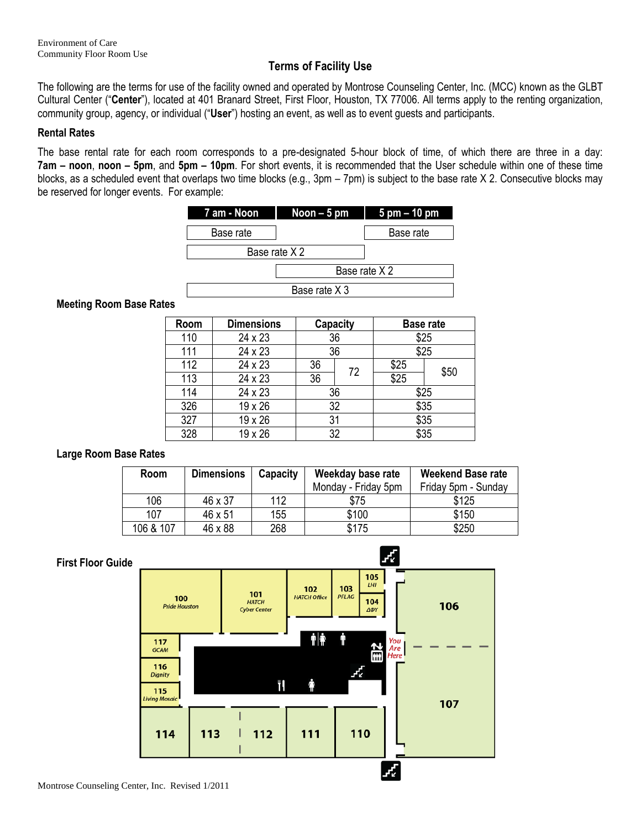# **Terms of Facility Use**

The following are the terms for use of the facility owned and operated by Montrose Counseling Center, Inc. (MCC) known as the GLBT Cultural Center ("**Center**"), located at 401 Branard Street, First Floor, Houston, TX 77006. All terms apply to the renting organization, community group, agency, or individual ("**User**") hosting an event, as well as to event guests and participants.

### **Rental Rates**

The base rental rate for each room corresponds to a pre-designated 5-hour block of time, of which there are three in a day: **7am – noon**, **noon – 5pm**, and **5pm – 10pm**. For short events, it is recommended that the User schedule within one of these time blocks, as a scheduled event that overlaps two time blocks (e.g., 3pm – 7pm) is subject to the base rate X 2. Consecutive blocks may be reserved for longer events. For example:



#### Base rate X 3

#### **Meeting Room Base Rates**

| Room | <b>Dimensions</b> | Capacity |    | <b>Base rate</b> |      |
|------|-------------------|----------|----|------------------|------|
| 110  | 24 x 23           | 36       |    | \$25             |      |
| 111  | 24 x 23           | 36       |    | \$25             |      |
| 112  | 24 x 23           | 36       | 72 | \$25             | \$50 |
| 113  | 24 x 23           | 36       |    | \$25             |      |
| 114  | 24 x 23           | 36       |    | \$25             |      |
| 326  | 19 x 26           | 32       |    | \$35             |      |
| 327  | 19 x 26           | 31       |    | \$35             |      |
| 328  | 19 x 26           | 32       |    | \$35             |      |

## **Large Room Base Rates**

| Room      | <b>Dimensions</b> | Capacity | Weekday base rate   | <b>Weekend Base rate</b> |  |
|-----------|-------------------|----------|---------------------|--------------------------|--|
|           |                   |          | Monday - Friday 5pm | Friday 5pm - Sunday      |  |
| 106       | 46 x 37           | 112      | \$75                | \$125                    |  |
| 107       | 46 x 51           | 155      | \$100               | \$150                    |  |
| 106 & 107 | 46 x 88           | 268      | \$175               | \$250                    |  |

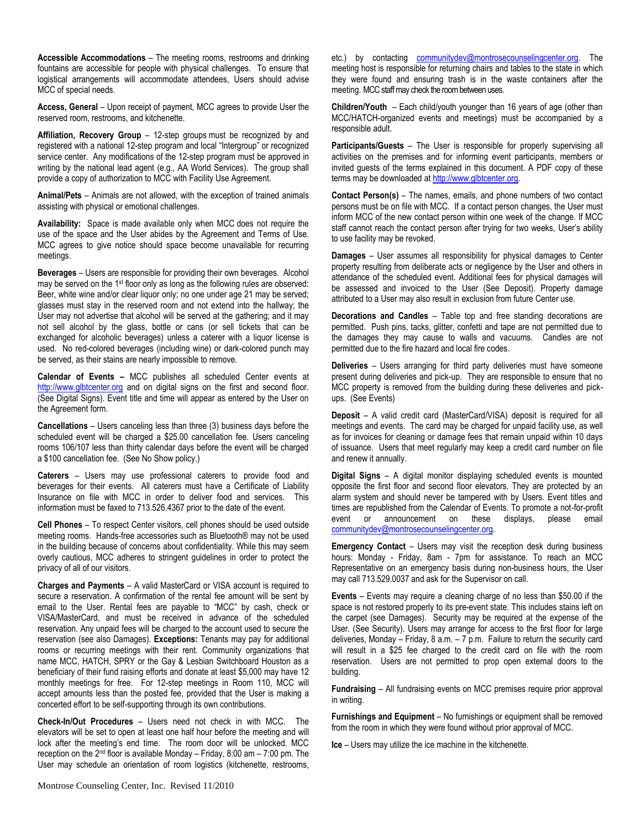**Accessible Accommodations** – The meeting rooms, restrooms and drinking fountains are accessible for people with physical challenges. To ensure that logistical arrangements will accommodate attendees, Users should advise MCC of special needs.

**Access, General** – Upon receipt of payment, MCC agrees to provide User the reserved room, restrooms, and kitchenette.

**Affiliation, Recovery Group** – 12-step groups must be recognized by and registered with a national 12-step program and local "Intergroup" or recognized service center. Any modifications of the 12-step program must be approved in writing by the national lead agent (e.g., AA World Services). The group shall provide a copy of authorization to MCC with Facility Use Agreement.

**Animal/Pets** – Animals are not allowed, with the exception of trained animals assisting with physical or emotional challenges.

**Availability:** Space is made available only when MCC does not require the use of the space and the User abides by the Agreement and Terms of Use. MCC agrees to give notice should space become unavailable for recurring meetings.

**Beverages** – Users are responsible for providing their own beverages. Alcohol may be served on the 1<sup>st</sup> floor only as long as the following rules are observed: Beer, white wine and/or clear liquor only; no one under age 21 may be served; glasses must stay in the reserved room and not extend into the hallway; the User may not advertise that alcohol will be served at the gathering; and it may not sell alcohol by the glass, bottle or cans (or sell tickets that can be exchanged for alcoholic beverages) unless a caterer with a liquor license is used. No red-colored beverages (including wine) or dark-colored punch may be served, as their stains are nearly impossible to remove.

**Calendar of Events –** MCC publishes all scheduled Center events at [http://www.glbtcenter.org](http://www.glbtcenter.org/) and on digital signs on the first and second floor. (See Digital Signs). Event title and time will appear as entered by the User on the Agreement form.

**Cancellations** – Users canceling less than three (3) business days before the scheduled event will be charged a \$25.00 cancellation fee. Users canceling rooms 106/107 less than thirty calendar days before the event will be charged a \$100 cancellation fee. (See No Show policy.)

**Caterers** – Users may use professional caterers to provide food and beverages for their events. All caterers must have a Certificate of Liability Insurance on file with MCC in order to deliver food and services. This information must be faxed to 713.526.4367 prior to the date of the event.

**Cell Phones** – To respect Center visitors, cell phones should be used outside meeting rooms. Hands-free accessories such as Bluetooth® may not be used in the building because of concerns about confidentiality. While this may seem overly cautious, MCC adheres to stringent guidelines in order to protect the privacy of all of our visitors.

**Charges and Payments** – A valid MasterCard or VISA account is required to secure a reservation. A confirmation of the rental fee amount will be sent by email to the User. Rental fees are payable to "MCC" by cash, check or VISA/MasterCard, and must be received in advance of the scheduled reservation. Any unpaid fees will be charged to the account used to secure the reservation (see also Damages). **Exceptions:** Tenants may pay for additional rooms or recurring meetings with their rent. Community organizations that name MCC, HATCH, SPRY or the Gay & Lesbian Switchboard Houston as a beneficiary of their fund raising efforts and donate at least \$5,000 may have 12 monthly meetings for free. For 12-step meetings in Room 110, MCC will accept amounts less than the posted fee, provided that the User is making a concerted effort to be self-supporting through its own contributions.

**Check-In/Out Procedures** – Users need not check in with MCC. The elevators will be set to open at least one half hour before the meeting and will lock after the meeting's end time. The room door will be unlocked. MCC reception on the  $2^{nd}$  floor is available Monday – Friday, 8:00 am – 7:00 pm. The User may schedule an orientation of room logistics (kitchenette, restrooms, etc.) by contacting [communitydev@montrosecounselingcenter.org.](mailto:communitydev@montrosecounselingcenter.org) The meeting host is responsible for returning chairs and tables to the state in which they were found and ensuring trash is in the waste containers after the meeting. MCC staff may check the room between uses.

**Children/Youth** – Each child/youth younger than 16 years of age (other than MCC/HATCH-organized events and meetings) must be accompanied by a responsible adult.

**Participants/Guests** – The User is responsible for properly supervising all activities on the premises and for informing event participants, members or invited guests of the terms explained in this document. A PDF copy of these terms may be downloaded at http://www.glbtcenter.org.

**Contact Person(s)** – The names, emails, and phone numbers of two contact persons must be on file with MCC. If a contact person changes, the User must inform MCC of the new contact person within one week of the change. If MCC staff cannot reach the contact person after trying for two weeks, User's ability to use facility may be revoked.

**Damages** – User assumes all responsibility for physical damages to Center property resulting from deliberate acts or negligence by the User and others in attendance of the scheduled event. Additional fees for physical damages will be assessed and invoiced to the User (See Deposit). Property damage attributed to a User may also result in exclusion from future Center use.

**Decorations and Candles** – Table top and free standing decorations are permitted. Push pins, tacks, glitter, confetti and tape are not permitted due to the damages they may cause to walls and vacuums. Candles are not permitted due to the fire hazard and local fire codes.

**Deliveries** – Users arranging for third party deliveries must have someone present during deliveries and pick-up. They are responsible to ensure that no MCC property is removed from the building during these deliveries and pickups. (See Events)

**Deposit** – A valid credit card (MasterCard/VISA) deposit is required for all meetings and events. The card may be charged for unpaid facility use, as well as for invoices for cleaning or damage fees that remain unpaid within 10 days of issuance. Users that meet regularly may keep a credit card number on file and renew it annually.

**Digital Signs** – A digital monitor displaying scheduled events is mounted opposite the first floor and second floor elevators. They are protected by an alarm system and should never be tampered with by Users. Event titles and times are republished from the Calendar of Events. To promote a not-for-profit event or announcement on these displays, please email [communitydev@montrosecounselingcenter.org.](mailto:communitydev@montrosecounselingcenter.org)

**Emergency Contact** – Users may visit the reception desk during business hours: Monday - Friday, 8am - 7pm for assistance. To reach an MCC Representative on an emergency basis during non-business hours, the User may call 713.529.0037 and ask for the Supervisor on call.

**Events** – Events may require a cleaning charge of no less than \$50.00 if the space is not restored properly to its pre-event state. This includes stains left on the carpet (see Damages). Security may be required at the expense of the User. (See Security). Users may arrange for access to the first floor for large deliveries, Monday – Friday, 8 a.m. – 7 p.m. Failure to return the security card will result in a \$25 fee charged to the credit card on file with the room reservation. Users are not permitted to prop open external doors to the building.

**Fundraising** – All fundraising events on MCC premises require prior approval in writing.

**Furnishings and Equipment** – No furnishings or equipment shall be removed from the room in which they were found without prior approval of MCC.

**Ice** – Users may utilize the ice machine in the kitchenette.